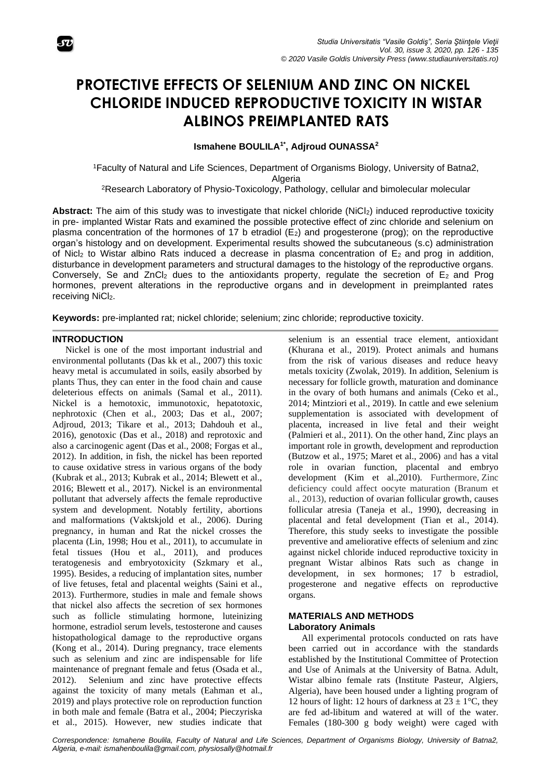

# **PROTECTIVE EFFECTS OF SELENIUM AND ZINC ON NICKEL CHLORIDE INDUCED REPRODUCTIVE TOXICITY IN WISTAR ALBINOS PREIMPLANTED RATS**

**Ismahene BOULILA1\* , Adjroud OUNASSA<sup>2</sup>**

<sup>1</sup>Faculty of Natural and Life Sciences, Department of Organisms Biology, University of Batna2, **Algeria** 

<sup>2</sup>Research Laboratory of Physio-Toxicology, Pathology, cellular and bimolecular molecular

**Abstract:** The aim of this study was to investigate that nickel chloride (NiCl2) induced reproductive toxicity in pre- implanted Wistar Rats and examined the possible protective effect of zinc chloride and selenium on plasma concentration of the hormones of 17 b etradiol  $(E_2)$  and progesterone (prog); on the reproductive organ's histology and on development. Experimental results showed the subcutaneous (s.c) administration of Nicl<sub>2</sub> to Wistar albino Rats induced a decrease in plasma concentration of  $E_2$  and prog in addition, disturbance in development parameters and structural damages to the histology of the reproductive organs. Conversely, Se and ZnCl<sub>2</sub> dues to the antioxidants property, regulate the secretion of  $E_2$  and Prog hormones, prevent alterations in the reproductive organs and in development in preimplanted rates receiving NiCl<sub>2</sub>.

**Keywords:** pre-implanted rat; nickel chloride; selenium; zinc chloride; reproductive toxicity.

#### **INTRODUCTION**

Nickel is one of the most important industrial and environmental pollutants (Das kk et al., 2007) this toxic heavy metal is accumulated in soils, easily absorbed by plants Thus, they can enter in the food chain and cause deleterious effects on animals (Samal et al., 2011). Nickel is a hemotoxic, immunotoxic, hepatotoxic, nephrotoxic (Chen et al., 2003; Das et al., 2007; Adjroud, 2013; Tikare et al., 2013; Dahdouh et al., 2016), genotoxic (Das et al., 2018) and reprotoxic and also a carcinogenic agent (Das et al., 2008; Forgas et al., 2012). In addition, in fish, the nickel has been reported to cause oxidative stress in various organs of the body (Kubrak et al., 2013; Kubrak et al., 2014; Blewett et al., 2016; Blewett et al., 2017). Nickel is an environmental pollutant that adversely affects the female reproductive system and development. Notably fertility, abortions and malformations (Vaktskjold et al., 2006). During pregnancy, in human and Rat the nickel crosses the placenta (Lin, 1998; Hou et al., 2011), to accumulate in fetal tissues (Hou et al., 2011), and produces teratogenesis and embryotoxicity (Szkmary et al., 1995). Besides, a reducing of implantation sites, number of live fetuses, fetal and placental weights (Saini et al., 2013). Furthermore, studies in male and female shows that nickel also affects the secretion of sex hormones such as follicle stimulating hormone, luteinizing hormone, estradiol serum levels, testosterone and causes histopathological damage to the reproductive organs (Kong et al., 2014). During pregnancy, trace elements such as selenium and zinc are indispensable for life maintenance of pregnant female and fetus (Osada et al., 2012). Selenium and zinc have protective effects against the toxicity of many metals (Eahman et al., 2019) and plays protective role on reproduction function in both male and female (Batra et al., 2004; Pieczyriska et al., 2015). However, new studies indicate that selenium is an essential trace element, antioxidant (Khurana et al., 2019). Protect animals and humans from the risk of various diseases and reduce heavy metals toxicity (Zwolak, 2019). In addition, Selenium is necessary for follicle growth, maturation and dominance in the ovary of both humans and animals (Ceko et al., 2014; Mintziori et al., 2019). In cattle and ewe selenium supplementation is associated with development of placenta, increased in live fetal and their weight (Palmieri et al., 2011). On the other hand, Zinc plays an important role in growth, development and reproduction (Butzow et al., 1975; Maret et al., 2006) and has a vital role in ovarian function, placental and embryo development (Kim et al.,2010). Furthermore, Zinc deficiency could affect oocyte maturation (Branum et al., 2013), reduction of ovarian follicular growth, causes follicular atresia (Taneja et al., 1990), decreasing in placental and fetal development (Tian et al., 2014). Therefore, this study seeks to investigate the possible preventive and ameliorative effects of selenium and zinc against nickel chloride induced reproductive toxicity in pregnant Wistar albinos Rats such as change in development, in sex hormones; 17 b estradiol, progesterone and negative effects on reproductive organs.

#### **MATERIALS AND METHODS Laboratory Animals**

All experimental protocols conducted on rats have been carried out in accordance with the standards established by the Institutional Committee of Protection and Use of Animals at the University of Batna. Adult, Wistar albino female rats (Institute Pasteur, Algiers, Algeria), have been housed under a lighting program of 12 hours of light: 12 hours of darkness at  $23 \pm 1$ °C, they are fed ad-libitum and watered at will of the water. Females (180-300 g body weight) were caged with

*Correspondence: Ismahene Boulila, Faculty of Natural and Life Sciences, Department of Organisms Biology, University of Batna2, Algeria, e-mail: ismahenboulila@gmail.com, physiosally@hotmail.fr*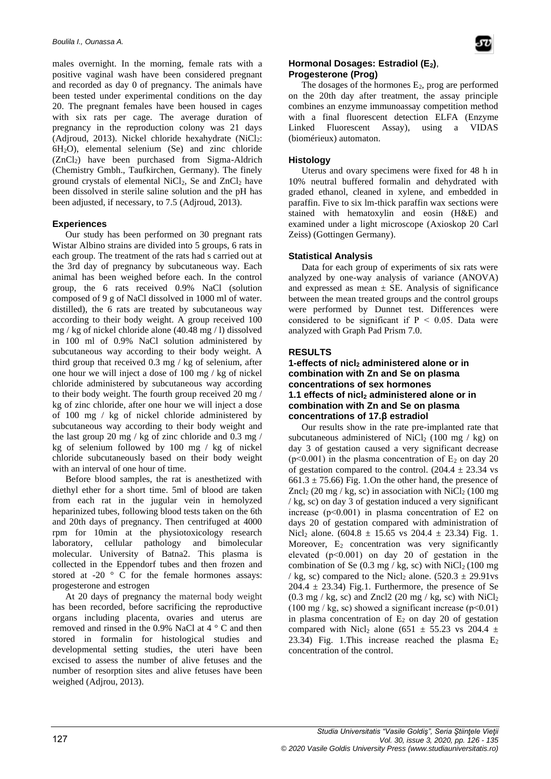males overnight. In the morning, female rats with a positive vaginal wash have been considered pregnant and recorded as day 0 of pregnancy. The animals have been tested under experimental conditions on the day 20. The pregnant females have been housed in cages with six rats per cage. The average duration of pregnancy in the reproduction colony was 21 days (Adjroud, 2013). Nickel chloride hexahydrate  $(NiCl<sub>2</sub>:$  $6H<sub>2</sub>O$ , elemental selenium (Se) and zinc chloride (ZnCl2) have been purchased from Sigma-Aldrich (Chemistry Gmbh., Taufkirchen, Germany). The finely ground crystals of elemental  $NiCl<sub>2</sub>$ , Se and  $ZnCl<sub>2</sub>$  have been dissolved in sterile saline solution and the pH has been adjusted, if necessary, to 7.5 (Adjroud, 2013).

# **Experiences**

Our study has been performed on 30 pregnant rats Wistar Albino strains are divided into 5 groups, 6 rats in each group. The treatment of the rats had s carried out at the 3rd day of pregnancy by subcutaneous way. Each animal has been weighed before each. In the control group, the 6 rats received 0.9% NaCl (solution composed of 9 g of NaCl dissolved in 1000 ml of water. distilled), the 6 rats are treated by subcutaneous way according to their body weight. A group received 100 mg / kg of nickel chloride alone (40.48 mg / l) dissolved in 100 ml of 0.9% NaCl solution administered by subcutaneous way according to their body weight. A third group that received 0.3 mg / kg of selenium, after one hour we will inject a dose of 100 mg / kg of nickel chloride administered by subcutaneous way according to their body weight. The fourth group received 20 mg / kg of zinc chloride, after one hour we will inject a dose of 100 mg / kg of nickel chloride administered by subcutaneous way according to their body weight and the last group 20 mg / kg of zinc chloride and 0.3 mg / kg of selenium followed by 100 mg / kg of nickel chloride subcutaneously based on their body weight with an interval of one hour of time.

Before blood samples, the rat is anesthetized with diethyl ether for a short time. 5ml of blood are taken from each rat in the jugular vein in hemolyzed heparinized tubes, following blood tests taken on the 6th and 20th days of pregnancy. Then centrifuged at 4000 rpm for 10min at the physiotoxicology research laboratory, cellular pathology and bimolecular molecular. University of Batna2. This plasma is collected in the Eppendorf tubes and then frozen and stored at -20  $\degree$  C for the female hormones assays: progesterone and estrogen

At 20 days of pregnancy the maternal body weight has been recorded, before sacrificing the reproductive organs including placenta, ovaries and uterus are removed and rinsed in the 0.9% NaCl at 4 ° C and then stored in formalin for histological studies and developmental setting studies, the uteri have been excised to assess the number of alive fetuses and the number of resorption sites and alive fetuses have been weighed (Adjrou, 2013).

## **Hormonal Dosages: Estradiol (E2)**, **Progesterone (Prog)**

The dosages of the hormones  $E_2$ , prog are performed on the 20th day after treatment, the assay principle combines an enzyme immunoassay competition method with a final fluorescent detection ELFA (Enzyme Linked Fluorescent Assay), using a VIDAS (biomérieux) automaton.

# **Histology**

Uterus and ovary specimens were fixed for 48 h in 10% neutral buffered formalin and dehydrated with graded ethanol, cleaned in xylene, and embedded in paraffin. Five to six lm-thick paraffin wax sections were stained with hematoxylin and eosin (H&E) and examined under a light microscope (Axioskop 20 Carl Zeiss) (Gottingen Germany).

# **Statistical Analysis**

Data for each group of experiments of six rats were analyzed by one-way analysis of variance (ANOVA) and expressed as mean  $\pm$  SE. Analysis of significance between the mean treated groups and the control groups were performed by Dunnet test. Differences were considered to be significant if  $P < 0.05$ . Data were analyzed with Graph Pad Prism 7.0.

# **RESULTS**

## **1-effects of nicl<sup>2</sup> [administered alone or in](https://en.wikipedia.org/wiki/Nickel(II)_chloride) [combination with Zn](https://en.wikipedia.org/wiki/Nickel(II)_chloride) and Se on plasma [concentrations of sex hormones](https://en.wikipedia.org/wiki/Nickel(II)_chloride) 1.1 effects of nicl<sup>2</sup> administered alone or in combination with Zn and Se on plasma concentrations of 17.β estradiol**

Our results show in the rate pre-implanted rate that subcutaneous administered of NiCl<sub>2</sub> (100 mg / kg) on day 3 of gestation caused a very significant decrease ( $p<0.001$ ) in the plasma concentration of  $E_2$  on day 20 of gestation compared to the control.  $(204.4 \pm 23.34 \text{ vs }$  $661.3 \pm 75.66$ ) Fig. 1.On the other hand, the presence of Zncl<sub>2</sub> (20 mg / kg, sc) in association with NiCl<sub>2</sub> (100 mg) / kg, sc) on day 3 of gestation induced a very significant increase  $(p<0.001)$  in plasma concentration of E2 on days 20 of gestation compared with administration of Nicl<sub>2</sub> alone. (604.8  $\pm$  15.65 vs 204.4  $\pm$  23.34) Fig. 1. Moreover,  $E_2$  concentration was very significantly elevated (p˂0.001) on day 20 of gestation in the combination of Se  $(0.3 \text{ mg} / \text{kg}, \text{sc})$  with NiCl<sub>2</sub> (100 mg) / kg, sc) compared to the Nicl<sub>2</sub> alone.  $(520.3 \pm 29.91)$ vs  $204.4 \pm 23.34$ ) Fig.1. Furthermore, the presence of Se  $(0.3 \text{ mg} / \text{kg}, \text{sc})$  and Zncl2  $(20 \text{ mg} / \text{kg}, \text{sc})$  with NiCl<sub>2</sub>  $(100 \text{ mg} / \text{kg}, \text{sc})$  showed a significant increase (p<0.01) in plasma concentration of  $E_2$  on day 20 of gestation compared with Nicl<sub>2</sub> alone (651  $\pm$  55.23 vs 204.4  $\pm$ 23.34) Fig. 1. This increase reached the plasma  $E_2$ concentration of the control.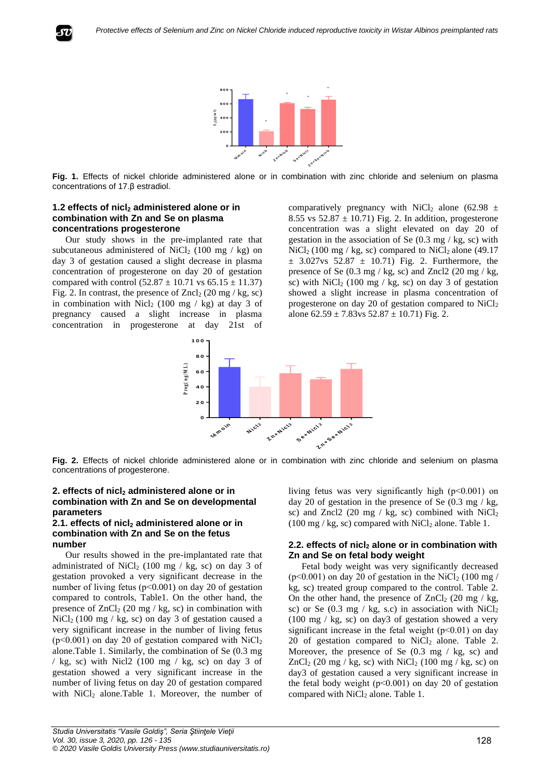

**Fig. 1.** Effects of nickel chloride administered alone or in combination with zinc chloride and selenium on plasma concentrations of 17.β estradiol.

#### **1.2 effects of nicl<sup>2</sup> administered alone or in combination with Zn and Se on plasma concentrations progesterone**

Our study shows in the pre-implanted rate that subcutaneous administered of NiCl<sub>2</sub> (100 mg / kg) on day 3 of gestation caused a slight decrease in plasma concentration of progesterone on day 20 of gestation compared with control  $(52.87 \pm 10.71 \text{ vs } 65.15 \pm 11.37)$ Fig. 2. In contrast, the presence of  $Zncl_2$  (20 mg / kg, sc) in combination with Nicl<sub>2</sub> (100 mg / kg) at day 3 of pregnancy caused a slight increase in plasma concentration in progesterone at day 21st of comparatively pregnancy with NiCl<sub>2</sub> alone (62.98  $\pm$ 8.55 vs  $52.87 \pm 10.71$ ) Fig. 2. In addition, progesterone concentration was a slight elevated on day 20 of gestation in the association of Se  $(0.3 \text{ mg} / \text{kg}, \text{sc})$  with  $NiCl<sub>2</sub> (100 mg / kg, sc)$  compared to  $NiCl<sub>2</sub>$  alone (49.17)  $\pm$  3.027vs 52.87  $\pm$  10.71) Fig. 2. Furthermore, the presence of Se  $(0.3 \text{ mg} / \text{kg}, \text{sc})$  and Zncl2  $(20 \text{ mg} / \text{kg}, \text{kg})$ sc) with  $\text{NiCl}_2$  (100 mg / kg, sc) on day 3 of gestation showed a slight increase in plasma concentration of progesterone on day 20 of gestation compared to  $NiCl<sub>2</sub>$ alone  $62.59 \pm 7.83$ vs  $52.87 \pm 10.71$ ) Fig. 2.



**Fig. 2.** Effects of nickel chloride administered alone or in combination with zinc chloride and selenium on plasma concentrations of progesterone.

#### **2. effects of nicl<sup>2</sup> administered alone or in combination with Zn and Se on developmental parameters**

#### **2.1. effects of nicl<sup>2</sup> administered alone or in combination with Zn and Se on the fetus number**

Our results showed in the pre-implantated rate that administrated of NiCl<sub>2</sub> (100 mg / kg, sc) on day 3 of gestation provoked a very significant decrease in the number of living fetus (p˂0.001) on day 20 of gestation compared to controls, Table1. On the other hand, the presence of  $ZnCl<sub>2</sub>$  (20 mg / kg, sc) in combination with  $NiCl<sub>2</sub>$  (100 mg / kg, sc) on day 3 of gestation caused a very significant increase in the number of living fetus ( $p<0.001$ ) on day 20 of gestation compared with NiCl<sub>2</sub> alone.Table 1. Similarly, the combination of Se (0.3 mg / kg, sc) with Nicl2 (100 mg / kg, sc) on day 3 of gestation showed a very significant increase in the number of living fetus on day 20 of gestation compared with  $NiCl<sub>2</sub>$  alone.Table 1. Moreover, the number of living fetus was very significantly high (p˂0.001) on day 20 of gestation in the presence of Se  $(0.3 \text{ mg} / \text{kg})$ , sc) and Zncl2 (20 mg / kg, sc) combined with  $NiCl<sub>2</sub>$  $(100 \text{ mg} / \text{kg}$ , sc) compared with NiCl<sub>2</sub> alone. Table 1.

#### **2.2. effects of nicl<sup>2</sup> alone or in combination with Zn and Se on fetal body weight**

Fetal body weight was very significantly decreased ( $p<0.001$ ) on day 20 of gestation in the NiCl<sub>2</sub> (100 mg / kg, sc) treated group compared to the control. Table 2. On the other hand, the presence of  $ZnCl<sub>2</sub>$  (20 mg / kg, sc) or Se (0.3 mg / kg, s.c) in association with  $NiCl<sub>2</sub>$ (100 mg / kg, sc) on day3 of gestation showed a very significant increase in the fetal weight  $(p<0.01)$  on day 20 of gestation compared to  $NiCl<sub>2</sub>$  alone. Table 2. Moreover, the presence of Se  $(0.3 \text{ mg} / \text{kg}, \text{sc})$  and  $ZnCl<sub>2</sub>$  (20 mg / kg, sc) with NiCl<sub>2</sub> (100 mg / kg, sc) on day3 of gestation caused a very significant increase in the fetal body weight  $(p<0.001)$  on day 20 of gestation compared with NiCl<sub>2</sub> alone. Table 1.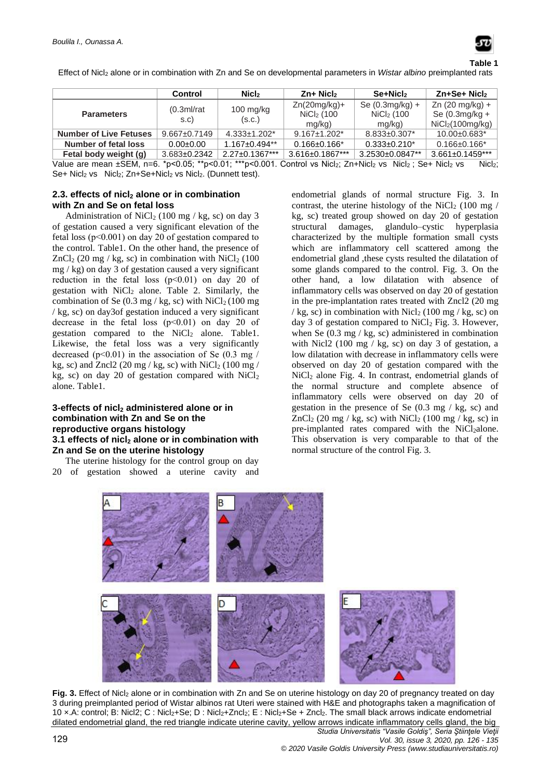

Effect of Nicl<sup>2</sup> alone or in combination with Zn and Se on developmental parameters in *Wistar albino* preimplanted rats

|                               | Control             | Nicl <sub>2</sub>     | $Zn+$ Nicl <sub>2</sub>                  | $Se+Michz$                                     | Zn+Se+ Nicl2                                                                  |
|-------------------------------|---------------------|-----------------------|------------------------------------------|------------------------------------------------|-------------------------------------------------------------------------------|
| <b>Parameters</b>             | (0.3ml/rat)<br>s.c) | $100$ mg/kg<br>(S.C.) | $Zn(20mg/kg)+$<br>$NiCl2$ (100<br>mg/kg) | Se $(0.3mg/kg) +$<br>$NiCl2$ (100<br>$mg/kg$ ) | Zn $(20 \text{ mg/kg}) +$<br>Se $(0.3mg/kg +$<br>NiCl <sub>2</sub> (100mg/kg) |
| <b>Number of Live Fetuses</b> | $9.667 \pm 0.7149$  | $4.333 \pm 1.202$ *   | $9.167 \pm 1.202$ <sup>*</sup>           | $8.833 \pm 0.307$ *                            | 10.00±0.683*                                                                  |
| Number of fetal loss          | $0.00 + 0.00$       | $1.167 \pm 0.494**$   | $0.166 \pm 0.166$ *                      | $0.333 \pm 0.210^*$                            | $0.166 \pm 0.166$ *                                                           |
| Fetal body weight (g)         | 3.683±0.2342        | $2.27 \pm 0.1367$ *** | 3.616±0.1867***                          | 3.2530±0.0847**                                | $3.661 \pm 0.1459$ ***                                                        |

Value are mean ±SEM, n=6. \*p<0.05; \*\*p<0.01; \*\*\*p<0.001. Control vs Nicl2; Zn+Nicl2 vs Nicl2; Se+ Nicl2 vs Nicl2; Se+ Nicl<sub>2</sub> vs Nicl<sub>2</sub>; Zn+Se+Nicl<sub>2</sub> vs Nicl<sub>2</sub>. (Dunnett test).

## **2.3. effects of nicl<sup>2</sup> alone or in combination with Zn and Se on fetal loss**

Administration of NiCl<sub>2</sub> (100 mg / kg, sc) on day 3 of gestation caused a very significant elevation of the fetal loss (p˂0.001) on day 20 of gestation compared to the control. Table1. On the other hand, the presence of  $ZnCl<sub>2</sub>$  (20 mg / kg, sc) in combination with NiCl<sub>2</sub> (100) mg / kg) on day 3 of gestation caused a very significant reduction in the fetal loss  $(p<0.01)$  on day 20 of gestation with  $NiCl<sub>2</sub>$  alone. Table 2. Similarly, the combination of Se  $(0.3 \text{ mg/kg} \cdot \text{kg} \cdot \text{sc})$  with NiCl<sub>2</sub> (100 mg) / kg, sc) on day3of gestation induced a very significant decrease in the fetal loss (p˂0.01) on day 20 of gestation compared to the  $NiCl<sub>2</sub>$  alone. Table1. Likewise, the fetal loss was a very significantly decreased ( $p<0.01$ ) in the association of Se (0.3 mg / kg, sc) and Zncl2 (20 mg / kg, sc) with  $\text{NiCl}_2$  (100 mg / kg, sc) on day 20 of gestation compared with  $NiCl<sub>2</sub>$ alone. Table1.

#### **3-effects of nicl<sup>2</sup> administered alone or in combination with Zn and Se on the reproductive organs histology 3.1 effects of nicl<sup>2</sup> alone or in combination with Zn and Se on the uterine histology**

The uterine histology for the control group on day 20 of gestation showed a uterine cavity and endometrial glands of normal structure Fig. 3. In contrast, the uterine histology of the NiCl<sub>2</sub> (100 mg / kg, sc) treated group showed on day 20 of gestation structural damages, glandulo–cystic hyperplasia characterized by the multiple formation small cysts which are inflammatory cell scattered among the endometrial gland ,these cysts resulted the dilatation of some glands compared to the control. Fig. 3. On the other hand, a low dilatation with absence of inflammatory cells was observed on day 20 of gestation in the pre-implantation rates treated with Zncl2 (20 mg / kg, sc) in combination with Nicl<sub>2</sub> (100 mg/kg, sc) on day 3 of gestation compared to NiCl<sub>2</sub> Fig. 3. However, when Se  $(0.3 \text{ mg} / \text{kg}, \text{sc})$  administered in combination with Nicl2 (100 mg  $/$  kg, sc) on day 3 of gestation, a low dilatation with decrease in inflammatory cells were observed on day 20 of gestation compared with the  $NiCl<sub>2</sub>$  alone Fig. 4. In contrast, endometrial glands of the normal structure and complete absence of inflammatory cells were observed on day 20 of gestation in the presence of Se  $(0.3 \text{ mg} / \text{kg, sc})$  and  $ZnCl<sub>2</sub>$  (20 mg / kg, sc) with NiCl<sub>2</sub> (100 mg / kg, sc) in pre-implanted rates compared with the NiCl<sub>2</sub>alone. This observation is very comparable to that of the normal structure of the control Fig. 3.



*Studia Universitatis "Vasile Goldiş", Seria Ştiinţele Vieţii* Fig. 3. Effect of Nicl<sub>2</sub> alone or in combination with Zn and Se on uterine histology on day 20 of pregnancy treated on day 3 during preimplanted period of Wistar albinos rat Uteri were stained with H&E and photographs taken a magnification of 10 ×.A: control; B: Nicl2; C : Nicl2+Se; D : Nicl2+Zncl2; E : Nicl2+Se + Zncl2. The small black arrows indicate endometrial dilated endometrial gland, the red triangle indicate uterine cavity, yellow arrows indicate inflammatory cells gland, the big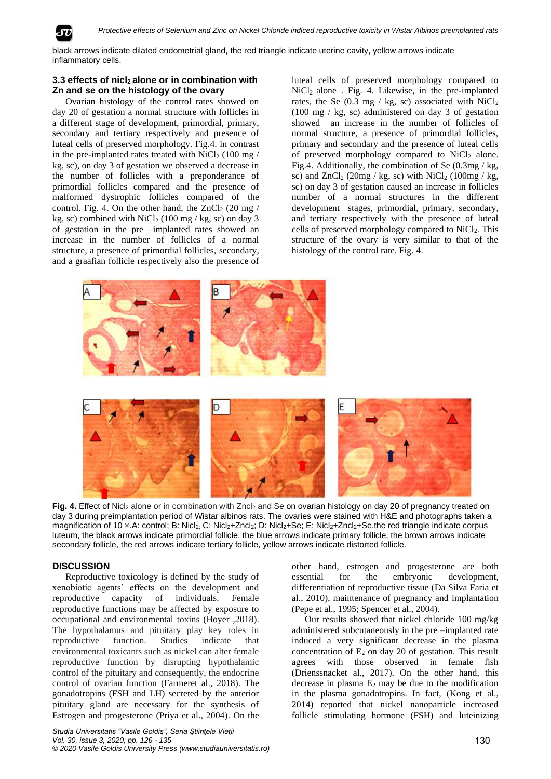

black arrows indicate dilated endometrial gland, the red triangle indicate uterine cavity, yellow arrows indicate inflammatory cells.

# **3.3 effects of nicl2 alone or in combination with Zn and se on the histology of the ovary**

Ovarian histology of the control rates showed on day 20 of gestation a normal structure with follicles in a different stage of development, primordial, primary, secondary and tertiary respectively and presence of luteal cells of preserved morphology. Fig.4. in contrast in the pre-implanted rates treated with  $\text{NiCl}_2$  (100 mg / kg, sc), on day 3 of gestation we observed a decrease in the number of follicles with a preponderance of primordial follicles compared and the presence of malformed dystrophic follicles compared of the control. Fig. 4. On the other hand, the  $ZnCl<sub>2</sub>$  (20 mg / kg, sc) combined with  $\text{NiCl}_2$  (100 mg / kg, sc) on day 3 of gestation in the pre –implanted rates showed an increase in the number of follicles of a normal structure, a presence of primordial follicles, secondary, and a graafian follicle respectively also the presence of

luteal cells of preserved morphology compared to  $NiCl<sub>2</sub>$  alone . Fig. 4. Likewise, in the pre-implanted rates, the Se  $(0.3 \text{ mg} / \text{kg}, \text{sc})$  associated with NiCl<sub>2</sub> (100 mg / kg, sc) administered on day 3 of gestation showed an increase in the number of follicles of normal structure, a presence of primordial follicles, primary and secondary and the presence of luteal cells of preserved morphology compared to NiCl<sub>2</sub> alone. Fig.4. Additionally, the combination of Se (0.3mg / kg, sc) and  $ZnCl<sub>2</sub>$  (20mg / kg, sc) with  $NiCl<sub>2</sub>$  (100mg / kg, sc) on day 3 of gestation caused an increase in follicles number of a normal structures in the different development stages, primordial, primary, secondary, and tertiary respectively with the presence of luteal cells of preserved morphology compared to NiCl<sub>2</sub>. This structure of the ovary is very similar to that of the histology of the control rate. Fig. 4.



**Fig. 4.** Effect of Nicl<sub>2</sub> alone or in combination with Zncl<sub>2</sub> and Se on ovarian histology on day 20 of pregnancy treated on day 3 during preimplantation period of Wistar albinos rats. The ovaries were stained with H&E and photographs taken a magnification of 10 x.A: control; B: Nicl<sub>2;</sub> C: Nicl<sub>2</sub>+Zncl<sub>2</sub>; D: Nicl<sub>2</sub>+Se; E: Nicl<sub>2</sub>+Zncl<sub>2</sub>+Se.the red triangle indicate corpus luteum, the black arrows indicate primordial follicle, the blue arrows indicate primary follicle, the brown arrows indicate secondary follicle, the red arrows indicate tertiary follicle, yellow arrows indicate distorted follicle.

# **DISCUSSION**

Reproductive toxicology is defined by the study of xenobiotic agents' effects on the development and reproductive capacity of individuals. Female reproductive functions may be affected by exposure to occupational and environmental toxins (Hoyer ,2018). The hypothalamus and pituitary play key roles in reproductive function. Studies indicate that environmental toxicants such as nickel can alter female reproductive function by disrupting hypothalamic control of the pituitary and consequently, the endocrine control of ovarian function (Farmeret al., 2018). The gonadotropins (FSH and LH) secreted by the anterior pituitary gland are necessary for the synthesis of Estrogen and progesterone (Priya et al., 2004). On the

other hand, estrogen and progesterone are both essential for the embryonic development, differentiation of reproductive tissue (Da Silva Faria et al., 2010), maintenance of pregnancy and implantation (Pepe et al., 1995; Spencer et al., 2004).

Our results showed that nickel chloride 100 mg/kg administered subcutaneously in the pre –implanted rate induced a very significant decrease in the plasma concentration of  $E_2$  on day 20 of gestation. This result agrees with those observed in female fish (Drienssnacket al., 2017). On the other hand, this decrease in plasma  $E_2$  may be due to the modification in the plasma gonadotropins. In fact, (Kong et al., 2014) reported that nickel nanoparticle increased follicle stimulating hormone (FSH) and luteinizing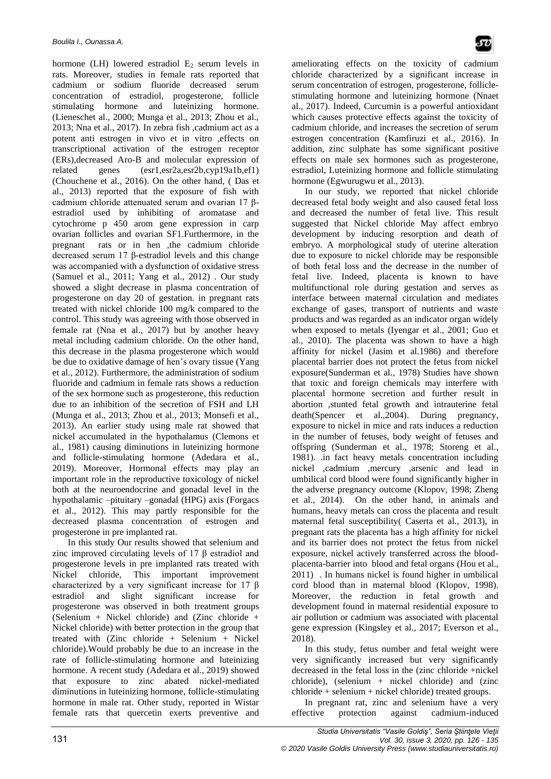hormone (LH) lowered estradiol  $E_2$  serum levels in rats. Moreover, studies in female rats reported that cadmium or sodium fluoride decreased serum concentration of estradiol, progesterone, follicle stimulating hormone and luteinizing hormone. (Lieneschet al., 2000; Munga et al., 2013; Zhou et al., 2013; Nna et al., 2017). In zebra fish ,cadmium act as a potent anti estrogen in vivo et in vitro ,effects on transcriptional activation of the estrogen receptor (ERs),decreased Aro-B and molecular expression of related genes (esr1,esr2a,esr2b,cyp19a1b,ef1) (Chouchene et al., 2016). On the other hand, ( Das et al., 2013) reported that the exposure of fish with cadmium chloride attenuated serum and ovarian 17 βestradiol used by inhibiting of aromatase and cytochrome p 450 arom gene expression in carp ovarian follicles and ovarian SF1.Furthermore, in the pregnant rats or in hen ,the cadmium chloride decreased serum 17 β-estradiol levels and this change was accompanied with a dysfunction of oxidative stress (Samuel et al., 2011; Yang et al., 2012) . Our study showed a slight decrease in plasma concentration of progesterone on day 20 of gestation. in pregnant rats treated with nickel chloride 100 mg/k compared to the control. This study was agreeing with those observed in female rat (Nna et al., 2017) but by another heavy metal including cadmium chloride. On the other hand, this decrease in the plasma progesterone which would be due to oxidative damage of hen's ovary tissue (Yang et al., 2012). Furthermore, the administration of sodium fluoride and cadmium in female rats shows a reduction of the sex hormone such as progesterone, this reduction due to an inhibition of the secretion of FSH and LH (Munga et al., 2013; Zhou et al., 2013; Monsefi et al., 2013). An earlier study using male rat showed that nickel accumulated in the hypothalamus (Clemons et al., 1981) causing diminutions in luteinizing hormone and follicle-stimulating hormone (Adedara et al., 2019). Moreover, Hormonal effects may play an important role in the reproductive toxicology of nickel both at the neuroendocrine and gonadal level in the hypothalamic –pituitary –gonadal (HPG) axis (Forgacs et al., 2012). This may partly responsible for the decreased plasma concentration of estrogen and progesterone in pre implanted rat.

In this study Our results showed that selenium and zinc improved circulating levels of 17 β estradiol and progesterone levels in pre implanted rats treated with Nickel chloride, This important improvement characterized by a very significant increase for 17 β estradiol and slight significant increase for progesterone was observed in both treatment groups (Selenium + Nickel chloride) and (Zinc chloride + Nickel chloride) with better protection in the group that treated with (Zinc chloride + Selenium + Nickel chloride).Would probably be due to an increase in the rate of follicle-stimulating hormone and luteinizing hormone. A recent study (Adedara et al., 2019) showed that exposure to zinc abated nickel-mediated diminutions in luteinizing hormone, follicle-stimulating hormone in male rat. Other study, reported in Wistar female rats that quercetin exerts preventive and

ameliorating effects on the toxicity of cadmium chloride characterized by a significant increase in serum concentration of estrogen, progesterone, folliclestimulating hormone and luteinizing hormone (Nnaet al., 2017). Indeed, Curcumin is a powerful antioxidant which causes protective effects against the toxicity of cadmium chloride, and increases the secretion of serum estrogen concentration (Kamfiruzi et al., 2016). In addition, zinc sulphate has some significant positive effects on male sex hormones such as progesterone, estradiol, Luteinizing hormone and follicle stimulating hormone (Egwurugwu et al., 2013).

In our study, we reported that nickel chloride decreased fetal body weight and also caused fetal loss and decreased the number of fetal live. This result suggested that Nickel chloride May affect embryo development by inducing resorption and death of embryo. A morphological study of uterine alteration due to exposure to nickel chloride may be responsible of both fetal loss and the decrease in the number of fetal live. Indeed, placenta is known to have multifunctional role during gestation and serves as interface between maternal circulation and mediates exchange of gases, transport of nutrients and waste products and was regarded as an indicator organ widely when exposed to metals (Iyengar et al., 2001; Guo et al., 2010). The placenta was shown to have a high affinity for nickel (Jasim et al.1986) and therefore placental barrier does not protect the fetus from nickel exposure(Sunderman et al., 1978) Studies have shown that toxic and foreign chemicals may interfere with placental hormone secretion and further result in abortion ,stunted fetal growth and intrauterine fetal death(Spencer et al.,2004). During pregnancy, exposure to nickel in mice and rats induces a reduction in the number of fetuses, body weight of fetuses and offspring (Sunderman et al., 1978; Storeng et al., 1981). .in fact heavy metals concentration including nickel ,cadmium ,mercury ,arsenic and lead in umbilical cord blood were found significantly higher in the adverse pregnancy outcome (Klopov, 1998; Zheng et al., 2014). On the other hand, in animals and humans, heavy metals can cross the placenta and result maternal fetal susceptibility( Caserta et al., 2013), in pregnant rats the placenta has a high affinity for nickel and its barrier does not protect the fetus from nickel exposure, nickel actively transferred across the bloodplacenta-barrier into blood and fetal organs (Hou et al., 2011) . In humans nickel is found higher in umbilical cord blood than in maternal blood (Klopov, 1998). Moreover, the reduction in fetal growth and development found in maternal residential exposure to air pollution or cadmium was associated with placental gene expression (Kingsley et al., 2017; Everson et al., 2018).

In this study, fetus number and fetal weight were very significantly increased but very significantly decreased in the fetal loss in the (zinc chloride +nickel chloride), (selenium + nickel chloride) and (zinc chloride + selenium + nickel chloride) treated groups.

In pregnant rat, zinc and selenium have a very effective protection against cadmium-induced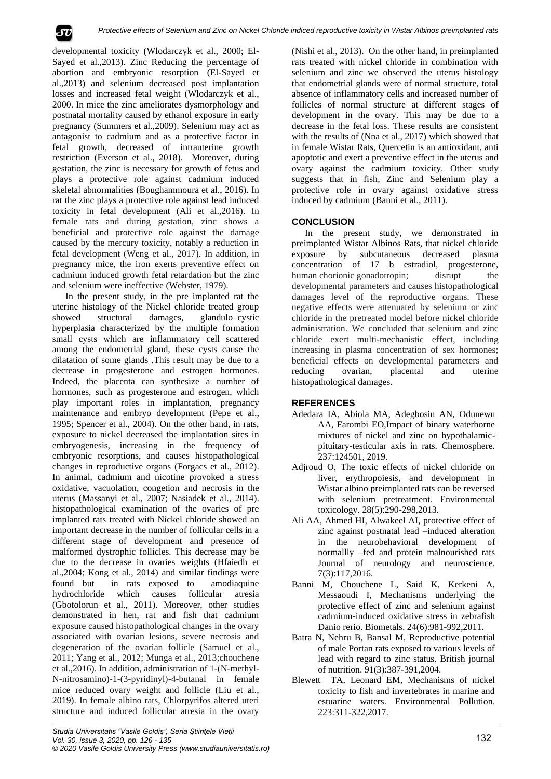

developmental toxicity (Wlodarczyk et al., 2000; El-Sayed et al.,2013). Zinc Reducing the percentage of abortion and embryonic resorption (El-Sayed et al.,2013) and selenium decreased post implantation losses and increased fetal weight (Wlodarczyk et al., 2000. In mice the zinc ameliorates dysmorphology and postnatal mortality caused by ethanol exposure in early pregnancy (Summers et al.,2009). Selenium may act as antagonist to cadmium and as a protective factor in fetal growth, decreased of intrauterine growth restriction (Everson et al., 2018). Moreover, during gestation, the zinc is necessary for growth of fetus and plays a protective role against cadmium induced skeletal abnormalities (Boughammoura et al., 2016). In rat the zinc plays a protective role against lead induced toxicity in fetal development (Ali et al.,2016). In female rats and during gestation, zinc shows a beneficial and protective role against the damage caused by the mercury toxicity, notably a reduction in fetal development (Weng et al., 2017). In addition, in pregnancy mice, the iron exerts preventive effect on cadmium induced growth fetal retardation but the zinc and selenium were ineffective (Webster, 1979).

In the present study, in the pre implanted rat the uterine histology of the Nickel chloride treated group showed structural damages, glandulo–cystic hyperplasia characterized by the multiple formation small cysts which are inflammatory cell scattered among the endometrial gland, these cysts cause the dilatation of some glands .This result may be due to a decrease in progesterone and estrogen hormones. Indeed, the placenta can synthesize a number of hormones, such as progesterone and estrogen, which play important roles in implantation, pregnancy maintenance and embryo development (Pepe et al., 1995; Spencer et al., 2004). On the other hand, in rats, exposure to nickel decreased the implantation sites in embryogenesis, increasing in the frequency of embryonic resorptions, and causes histopathological changes in reproductive organs (Forgacs et al., 2012). In animal, cadmium and nicotine provoked a stress oxidative, vacuolation, congetion and necrosis in the uterus (Massanyi et al., 2007; Nasiadek et al., 2014). histopathological examination of the ovaries of pre implanted rats treated with Nickel chloride showed an important decrease in the number of follicular cells in a different stage of development and presence of malformed dystrophic follicles. This decrease may be due to the decrease in ovaries weights (Hfaiedh et al.,2004; Kong et al., 2014) and similar findings were found but in rats exposed to amodiaquine hydrochloride which causes follicular atresia (Gbotolorun et al., 2011). Moreover, other studies demonstrated in hen, rat and fish that cadmium exposure caused histopathological changes in the ovary associated with ovarian lesions, severe necrosis and degeneration of the ovarian follicle (Samuel et al., 2011; Yang et al., 2012; Munga et al., 2013;chouchene et al.,2016). In addition, administration of 1-(N-methyl-N-nitrosamino)-1-(3-pyridinyl)-4-butanal in female mice reduced ovary weight and follicle (Liu et al., 2019). In female albino rats, Chlorpyrifos altered uteri structure and induced follicular atresia in the ovary

(Nishi et al., 2013). On the other hand, in preimplanted rats treated with nickel chloride in combination with selenium and zinc we observed the uterus histology that endometrial glands were of normal structure, total absence of inflammatory cells and increased number of follicles of normal structure at different stages of development in the ovary. This may be due to a decrease in the fetal loss. These results are consistent with the results of (Nna et al., 2017) which showed that in female Wistar Rats, Quercetin is an antioxidant, anti apoptotic and exert a preventive effect in the uterus and ovary against the cadmium toxicity. Other study suggests that in fish, Zinc and Selenium play a protective role in ovary against oxidative stress induced by cadmium (Banni et al., 2011).

## **CONCLUSION**

In the present study, we demonstrated in preimplanted Wistar Albinos Rats, that nickel chloride exposure by subcutaneous decreased plasma concentration of 17 b estradiol, progesterone, human chorionic gonadotropin: disrupt the developmental parameters and causes histopathological damages level of the reproductive organs. These negative effects were attenuated by selenium or zinc chloride in the pretreated model before nickel chloride administration. We concluded that selenium and zinc chloride exert multi-mechanistic effect, including increasing in plasma concentration of sex hormones; beneficial effects on developmental parameters and reducing ovarian, placental and uterine histopathological damages.

#### **REFERENCES**

- Adedara IA, Abiola MA, Adegbosin AN, Odunewu AA, Farombi EO,Impact of binary waterborne mixtures of nickel and zinc on hypothalamicpituitary-testicular axis in rats. Chemosphere. 237:124501, 2019.
- Adjroud O, The toxic effects of nickel chloride on liver, erythropoiesis, and development in Wistar albino preimplanted rats can be reversed with selenium pretreatment. Environmental toxicology. 28(5):290-298,2013.
- Ali AA, Ahmed HI, Alwakeel AI, protective effect of zinc against postnatal lead –induced alteration in the neurobehavioral development of normallly –fed and protein malnourished rats Journal of neurology and neuroscience. 7(3):117,2016.
- Banni M, Chouchene L, Said K, Kerkeni A, Messaoudi I, Mechanisms underlying the protective effect of zinc and selenium against cadmium-induced oxidative stress in zebrafish Danio rerio. Biometals. 24(6):981-992,2011.
- Batra N, Nehru B, Bansal M, Reproductive potential of male Portan rats exposed to various levels of lead with regard to zinc status. British journal of nutrition. 91(3):387-391,2004.
- Blewett TA, Leonard EM, Mechanisms of nickel toxicity to fish and invertebrates in marine and estuarine waters. Environmental Pollution. 223:311-322,2017.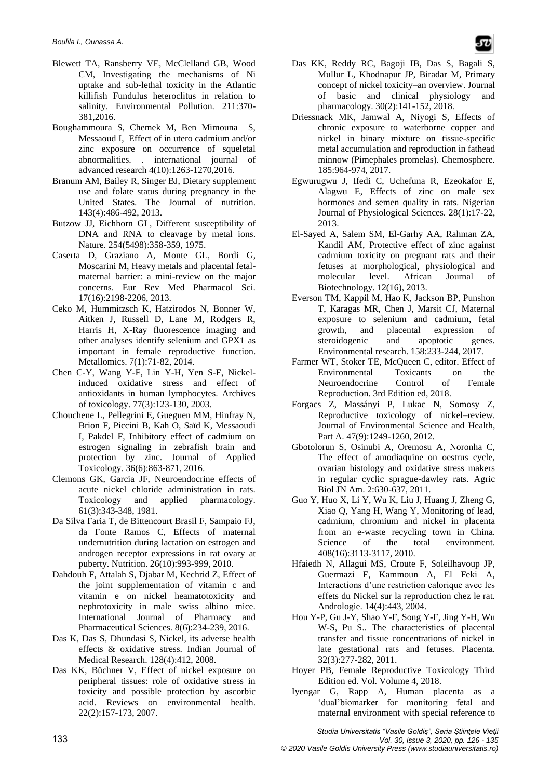- Blewett TA, Ransberry VE, McClelland GB, Wood CM, Investigating the mechanisms of Ni uptake and sub-lethal toxicity in the Atlantic killifish Fundulus heteroclitus in relation to salinity. Environmental Pollution. 211:370- 381,2016.
- Boughammoura S, Chemek M, Ben Mimouna S, Messaoud I, Effect of in utero cadmium and/or zinc exposure on occurrence of squeletal abnormalities. . international journal of advanced research 4(10):1263-1270,2016.
- Branum AM, Bailey R, Singer BJ, Dietary supplement use and folate status during pregnancy in the United States. The Journal of nutrition. 143(4):486-492, 2013.
- Butzow JJ, Eichhorn GL, Different susceptibility of DNA and RNA to cleavage by metal ions. Nature. 254(5498):358-359, 1975.
- Caserta D, Graziano A, Monte GL, Bordi G, Moscarini M, Heavy metals and placental fetalmaternal barrier: a mini-review on the major concerns. Eur Rev Med Pharmacol Sci. 17(16):2198-2206, 2013.
- Ceko M, Hummitzsch K, Hatzirodos N, Bonner W, Aitken J, Russell D, Lane M, Rodgers R, Harris H, X-Ray fluorescence imaging and other analyses identify selenium and GPX1 as important in female reproductive function. Metallomics. 7(1):71-82, 2014.
- Chen C-Y, Wang Y-F, Lin Y-H, Yen S-F, Nickelinduced oxidative stress and effect of antioxidants in human lymphocytes. Archives of toxicology. 77(3):123-130, 2003.
- Chouchene L, Pellegrini E, Gueguen MM, Hinfray N, Brion F, Piccini B, Kah O, Saïd K, Messaoudi I, Pakdel F, Inhibitory effect of cadmium on estrogen signaling in zebrafish brain and protection by zinc. Journal of Applied Toxicology. 36(6):863-871, 2016.
- Clemons GK, Garcia JF, Neuroendocrine effects of acute nickel chloride administration in rats. Toxicology and applied pharmacology. 61(3):343-348, 1981.
- Da Silva Faria T, de Bittencourt Brasil F, Sampaio FJ, da Fonte Ramos C, Effects of maternal undernutrition during lactation on estrogen and androgen receptor expressions in rat ovary at puberty. Nutrition. 26(10):993-999, 2010.
- Dahdouh F, Attalah S, Djabar M, Kechrid Z, Effect of the joint supplementation of vitamin c and vitamin e on nickel heamatotoxicity and nephrotoxicity in male swiss albino mice. International Journal of Pharmacy and Pharmaceutical Sciences. 8(6):234-239, 2016.
- Das K, Das S, Dhundasi S, Nickel, its adverse health effects & oxidative stress. Indian Journal of Medical Research. 128(4):412, 2008.
- Das KK, Büchner V, Effect of nickel exposure on peripheral tissues: role of oxidative stress in toxicity and possible protection by ascorbic acid. Reviews on environmental health. 22(2):157-173, 2007.
- Das KK, Reddy RC, Bagoji IB, Das S, Bagali S, Mullur L, Khodnapur JP, Biradar M, Primary concept of nickel toxicity–an overview. Journal of basic and clinical physiology and pharmacology. 30(2):141-152, 2018.
- Driessnack MK, Jamwal A, Niyogi S, Effects of chronic exposure to waterborne copper and nickel in binary mixture on tissue-specific metal accumulation and reproduction in fathead minnow (Pimephales promelas). Chemosphere. 185:964-974, 2017.
- Egwurugwu J, Ifedi C, Uchefuna R, Ezeokafor E, Alagwu E, Effects of zinc on male sex hormones and semen quality in rats. Nigerian Journal of Physiological Sciences. 28(1):17-22, 2013.
- El-Sayed A, Salem SM, El-Garhy AA, Rahman ZA, Kandil AM, Protective effect of zinc against cadmium toxicity on pregnant rats and their fetuses at morphological, physiological and molecular level. African Journal of Biotechnology. 12(16), 2013.
- Everson TM, Kappil M, Hao K, Jackson BP, Punshon T, Karagas MR, Chen J, Marsit CJ, Maternal exposure to selenium and cadmium, fetal growth, and placental expression of steroidogenic and apoptotic genes. Environmental research. 158:233-244, 2017.
- Farmer WT, Stoker TE, McQueen C, editor. Effect of Environmental Toxicants on the Neuroendocrine Control of Female Reproduction. 3rd Edition ed, 2018.
- Forgacs Z, Massányi P, Lukac N, Somosy Z, Reproductive toxicology of nickel–review. Journal of Environmental Science and Health, Part A. 47(9):1249-1260, 2012.
- Gbotolorun S, Osinubi A, Oremosu A, Noronha C, The effect of amodiaquine on oestrus cycle, ovarian histology and oxidative stress makers in regular cyclic sprague-dawley rats. Agric Biol JN Am. 2:630-637, 2011.
- Guo Y, Huo X, Li Y, Wu K, Liu J, Huang J, Zheng G, Xiao Q, Yang H, Wang Y, Monitoring of lead, cadmium, chromium and nickel in placenta from an e-waste recycling town in China. Science of the total environment. 408(16):3113-3117, 2010.
- Hfaiedh N, Allagui MS, Croute F, Soleilhavoup JP, Guermazi F, Kammoun A, El Feki A, Interactions d'une restriction calorique avec les effets du Nickel sur la reproduction chez le rat. Andrologie. 14(4):443, 2004.
- Hou Y-P, Gu J-Y, Shao Y-F, Song Y-F, Jing Y-H, Wu W-S, Pu S.. The characteristics of placental transfer and tissue concentrations of nickel in late gestational rats and fetuses. Placenta. 32(3):277-282, 2011.
- Hoyer PB, Female Reproductive Toxicology Third Edition ed. Vol. Volume 4, 2018.
- Iyengar G, Rapp A, Human placenta as a 'dual'biomarker for monitoring fetal and maternal environment with special reference to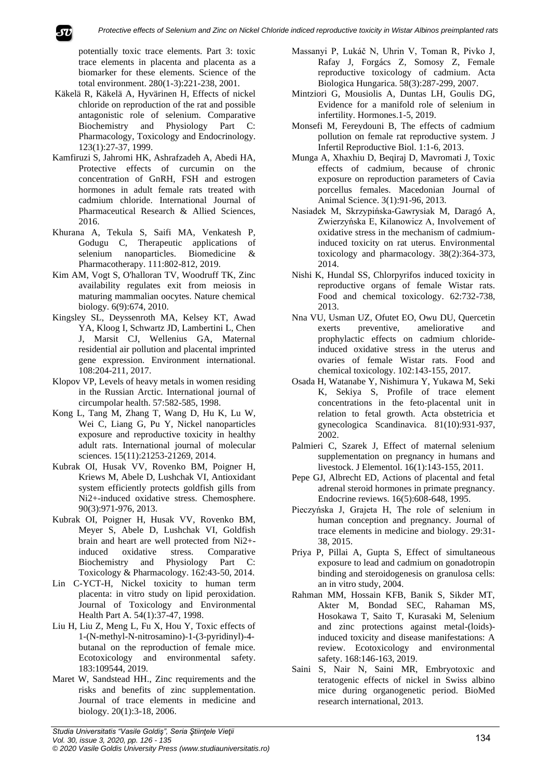*Protective effects of Selenium and Zinc on Nickel Chloride indiced reproductive toxicity in Wistar Albinos preimplanted rats*

potentially toxic trace elements. Part 3: toxic trace elements in placenta and placenta as a biomarker for these elements. Science of the total environment. 280(1-3):221-238, 2001.

- Käkelä R, Käkelä A, Hyvärinen H, Effects of nickel chloride on reproduction of the rat and possible antagonistic role of selenium. Comparative Biochemistry and Physiology Part C: Pharmacology, Toxicology and Endocrinology. 123(1):27-37, 1999.
- Kamfiruzi S, Jahromi HK, Ashrafzadeh A, Abedi HA, Protective effects of curcumin on the concentration of GnRH, FSH and estrogen hormones in adult female rats treated with cadmium chloride. International Journal of Pharmaceutical Research & Allied Sciences, 2016.
- Khurana A, Tekula S, Saifi MA, Venkatesh P, Godugu C, Therapeutic applications of selenium nanoparticles. Biomedicine & Pharmacotherapy. 111:802-812, 2019.
- Kim AM, Vogt S, O'halloran TV, Woodruff TK, Zinc availability regulates exit from meiosis in maturing mammalian oocytes. Nature chemical biology. 6(9):674, 2010.
- Kingsley SL, Deyssenroth MA, Kelsey KT, Awad YA, Kloog I, Schwartz JD, Lambertini L, Chen J, Marsit CJ, Wellenius GA, Maternal residential air pollution and placental imprinted gene expression. Environment international. 108:204-211, 2017.
- Klopov VP, Levels of heavy metals in women residing in the Russian Arctic. International journal of circumpolar health. 57:582-585, 1998.
- Kong L, Tang M, Zhang T, Wang D, Hu K, Lu W, Wei C, Liang G, Pu Y, Nickel nanoparticles exposure and reproductive toxicity in healthy adult rats. International journal of molecular sciences. 15(11):21253-21269, 2014.
- Kubrak OI, Husak VV, Rovenko BM, Poigner H, Kriews M, Abele D, Lushchak VI, Antioxidant system efficiently protects goldfish gills from Ni2+-induced oxidative stress. Chemosphere. 90(3):971-976, 2013.
- Kubrak OI, Poigner H, Husak VV, Rovenko BM, Meyer S, Abele D, Lushchak VI, Goldfish brain and heart are well protected from Ni2+ induced oxidative stress. Comparative Biochemistry and Physiology Part C: Toxicology & Pharmacology. 162:43-50, 2014.
- Lin C-YCT-H, Nickel toxicity to human term placenta: in vitro study on lipid peroxidation. Journal of Toxicology and Environmental Health Part A. 54(1):37-47, 1998.
- Liu H, Liu Z, Meng L, Fu X, Hou Y, Toxic effects of 1-(N-methyl-N-nitrosamino)-1-(3-pyridinyl)-4 butanal on the reproduction of female mice. Ecotoxicology and environmental safety. 183:109544, 2019.
- Maret W, Sandstead HH., Zinc requirements and the risks and benefits of zinc supplementation. Journal of trace elements in medicine and biology. 20(1):3-18, 2006.
- Massanyi P, Lukáč N, Uhrin V, Toman R, Pivko J, Rafay J, Forgács Z, Somosy Z, Female reproductive toxicology of cadmium. Acta Biologica Hungarica. 58(3):287-299, 2007.
- Mintziori G, Mousiolis A, Duntas LH, Goulis DG, Evidence for a manifold role of selenium in infertility. Hormones.1-5, 2019.
- Monsefi M, Fereydouni B, The effects of cadmium pollution on female rat reproductive system. J Infertil Reproductive Biol. 1:1-6, 2013.
- Munga A, Xhaxhiu D, Beqiraj D, Mavromati J, Toxic effects of cadmium, because of chronic exposure on reproduction parameters of Cavia porcellus females. Macedonian Journal of Animal Science. 3(1):91-96, 2013.
- Nasiadek M, Skrzypińska-Gawrysiak M, Daragó A, Zwierzyńska E, Kilanowicz A, Involvement of oxidative stress in the mechanism of cadmiuminduced toxicity on rat uterus. Environmental toxicology and pharmacology. 38(2):364-373, 2014.
- Nishi K, Hundal SS, Chlorpyrifos induced toxicity in reproductive organs of female Wistar rats. Food and chemical toxicology. 62:732-738, 2013.
- Nna VU, Usman UZ, Ofutet EO, Owu DU, Quercetin exerts preventive, ameliorative and prophylactic effects on cadmium chlorideinduced oxidative stress in the uterus and ovaries of female Wistar rats. Food and chemical toxicology. 102:143-155, 2017.
- Osada H, Watanabe Y, Nishimura Y, Yukawa M, Seki K, Sekiya S, Profile of trace element concentrations in the feto‐placental unit in relation to fetal growth. Acta obstetricia et gynecologica Scandinavica. 81(10):931-937, 2002.
- Palmieri C, Szarek J, Effect of maternal selenium supplementation on pregnancy in humans and livestock. J Elementol. 16(1):143-155, 2011.
- Pepe GJ, Albrecht ED, Actions of placental and fetal adrenal steroid hormones in primate pregnancy. Endocrine reviews. 16(5):608-648, 1995.
- Pieczyńska J, Grajeta H, The role of selenium in human conception and pregnancy. Journal of trace elements in medicine and biology. 29:31- 38, 2015.
- Priya P, Pillai A, Gupta S, Effect of simultaneous exposure to lead and cadmium on gonadotropin binding and steroidogenesis on granulosa cells: an in vitro study, 2004.
- Rahman MM, Hossain KFB, Banik S, Sikder MT, Akter M, Bondad SEC, Rahaman MS, Hosokawa T, Saito T, Kurasaki M, Selenium and zinc protections against metal-(loids) induced toxicity and disease manifestations: A review. Ecotoxicology and environmental safety. 168:146-163, 2019.
- Saini S, Nair N, Saini MR, Embryotoxic and teratogenic effects of nickel in Swiss albino mice during organogenetic period. BioMed research international, 2013.